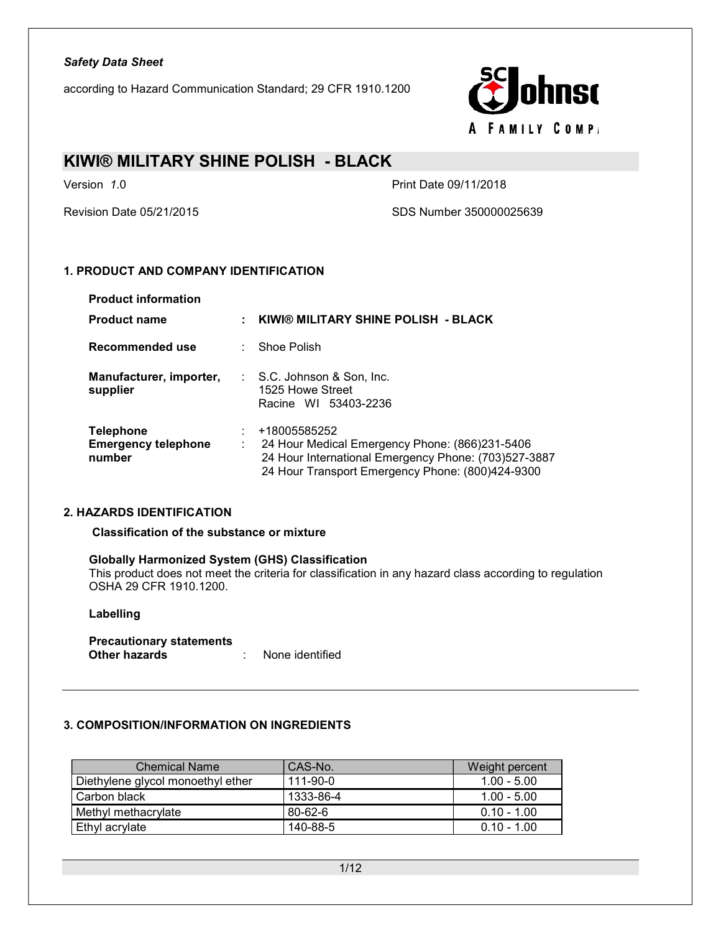according to Hazard Communication Standard; 29 CFR 1910.1200



### KIWI® MILITARY SHINE POLISH - BLACK

Version 1.0 **Print Date 09/11/2018** 

Revision Date 05/21/2015 SDS Number 350000025639

### 1. PRODUCT AND COMPANY IDENTIFICATION

| <b>Product information</b>                               |                                                                                                                                                                            |
|----------------------------------------------------------|----------------------------------------------------------------------------------------------------------------------------------------------------------------------------|
| <b>Product name</b>                                      | KIWI® MILITARY SHINE POLISH - BLACK                                                                                                                                        |
| Recommended use                                          | $\therefore$ Shoe Polish                                                                                                                                                   |
| Manufacturer, importer,<br>supplier                      | $\therefore$ S.C. Johnson & Son, Inc.<br>1525 Howe Street<br>Racine WI 53403-2236                                                                                          |
| <b>Telephone</b><br><b>Emergency telephone</b><br>number | +18005585252<br>24 Hour Medical Emergency Phone: (866)231-5406<br>24 Hour International Emergency Phone: (703)527-3887<br>24 Hour Transport Emergency Phone: (800)424-9300 |

### 2. HAZARDS IDENTIFICATION

Classification of the substance or mixture

#### Globally Harmonized System (GHS) Classification

This product does not meet the criteria for classification in any hazard class according to regulation OSHA 29 CFR 1910.1200.

#### Labelling

Precautionary statements<br>Other hazards other hands in None identified

### 3. COMPOSITION/INFORMATION ON INGREDIENTS

| <b>Chemical Name</b>              | CAS-No.        | Weight percent |
|-----------------------------------|----------------|----------------|
| Diethylene glycol monoethyl ether | $111 - 90 - 0$ | $1.00 - 5.00$  |
| . Carbon black                    | 1333-86-4      | $1.00 - 5.00$  |
| Methyl methacrylate               | 80-62-6        | $0.10 - 1.00$  |
| Ethyl acrylate                    | 140-88-5       | $0.10 - 1.00$  |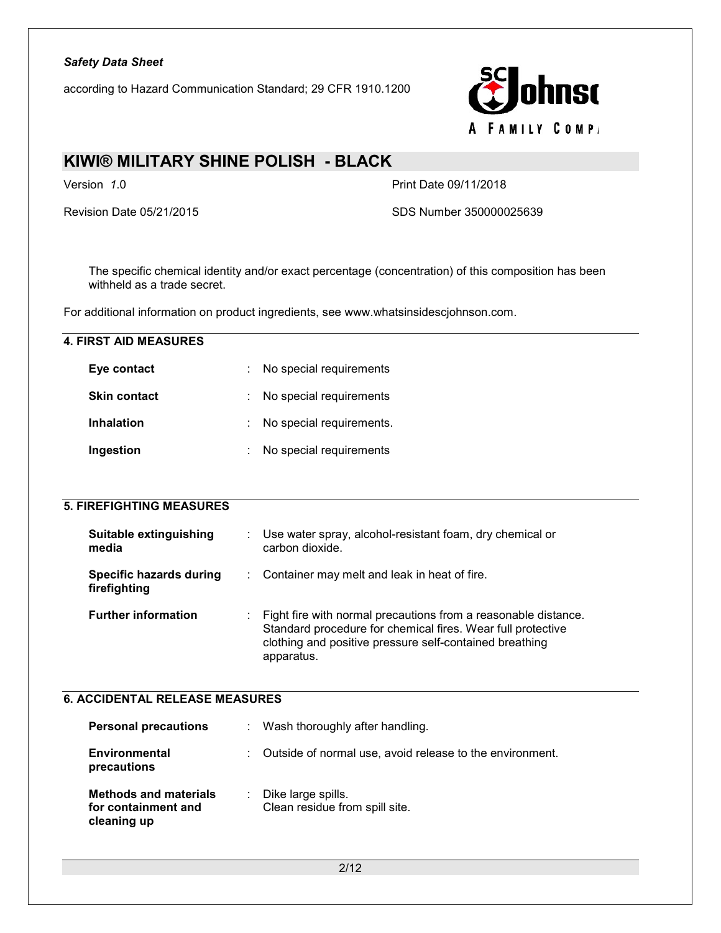according to Hazard Communication Standard; 29 CFR 1910.1200



### KIWI® MILITARY SHINE POLISH - BLACK

Version 1.0 Print Date 09/11/2018

Revision Date 05/21/2015 SDS Number 350000025639

The specific chemical identity and/or exact percentage (concentration) of this composition has been withheld as a trade secret.

For additional information on product ingredients, see www.whatsinsidescjohnson.com.

| <b>4. FIRST AID MEASURES</b>                   |                              |                                                                                                                                                                                                        |
|------------------------------------------------|------------------------------|--------------------------------------------------------------------------------------------------------------------------------------------------------------------------------------------------------|
| Eye contact                                    |                              | No special requirements                                                                                                                                                                                |
| <b>Skin contact</b>                            |                              | No special requirements                                                                                                                                                                                |
| <b>Inhalation</b>                              |                              | No special requirements.                                                                                                                                                                               |
| Ingestion                                      |                              | No special requirements                                                                                                                                                                                |
|                                                |                              |                                                                                                                                                                                                        |
| <b>5. FIREFIGHTING MEASURES</b>                |                              |                                                                                                                                                                                                        |
| <b>Suitable extinguishing</b><br>media         |                              | Use water spray, alcohol-resistant foam, dry chemical or<br>carbon dioxide.                                                                                                                            |
| <b>Specific hazards during</b><br>firefighting |                              | Container may melt and leak in heat of fire.                                                                                                                                                           |
| <b>Further information</b>                     |                              | Fight fire with normal precautions from a reasonable distance.<br>Standard procedure for chemical fires. Wear full protective<br>clothing and positive pressure self-contained breathing<br>apparatus. |
| <b>6. ACCIDENTAL RELEASE MEASURES</b>          |                              |                                                                                                                                                                                                        |
| <b>Personal precautions</b>                    | $\mathcal{L}_{\mathrm{eff}}$ | Wash thoroughly after handling.                                                                                                                                                                        |

| <b>Environmental</b><br>precautions                                | : Outside of normal use, avoid release to the environment. |
|--------------------------------------------------------------------|------------------------------------------------------------|
| <b>Methods and materials</b><br>for containment and<br>cleaning up | : Dike large spills.<br>Clean residue from spill site.     |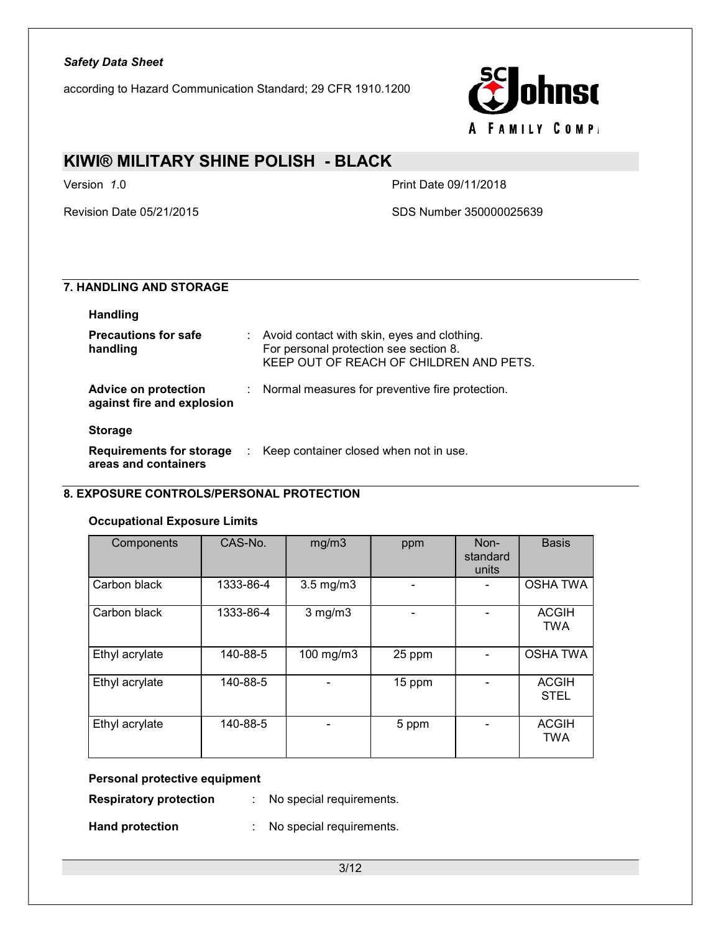according to Hazard Communication Standard; 29 CFR 1910.1200



### KIWI® MILITARY SHINE POLISH - BLACK

Version 1.0 **Print Date 09/11/2018** 

Revision Date 05/21/2015 SDS Number 350000025639

### 7. HANDLING AND STORAGE

| <b>Handling</b>                                         |                                                                                                                                  |
|---------------------------------------------------------|----------------------------------------------------------------------------------------------------------------------------------|
| <b>Precautions for safe</b><br>handling                 | Avoid contact with skin, eyes and clothing.<br>For personal protection see section 8.<br>KEEP OUT OF REACH OF CHILDREN AND PETS. |
| Advice on protection<br>against fire and explosion      | : Normal measures for preventive fire protection.                                                                                |
| <b>Storage</b>                                          |                                                                                                                                  |
| <b>Requirements for storage</b><br>areas and containers | Keep container closed when not in use.                                                                                           |

### 8. EXPOSURE CONTROLS/PERSONAL PROTECTION

### Occupational Exposure Limits

| Components     | CAS-No.   | mg/m3              | ppm    | Non-<br>standard<br>units | <b>Basis</b>                |
|----------------|-----------|--------------------|--------|---------------------------|-----------------------------|
| Carbon black   | 1333-86-4 | $3.5 \text{ mg/m}$ |        |                           | <b>OSHA TWA</b>             |
| Carbon black   | 1333-86-4 | $3$ mg/m $3$       |        |                           | <b>ACGIH</b><br><b>TWA</b>  |
| Ethyl acrylate | 140-88-5  | 100 mg/m3          | 25 ppm |                           | <b>OSHA TWA</b>             |
| Ethyl acrylate | 140-88-5  |                    | 15 ppm |                           | <b>ACGIH</b><br><b>STEL</b> |
| Ethyl acrylate | 140-88-5  |                    | 5 ppm  |                           | <b>ACGIH</b><br><b>TWA</b>  |

### Personal protective equipment

Respiratory protection : No special requirements.

Hand protection : No special requirements.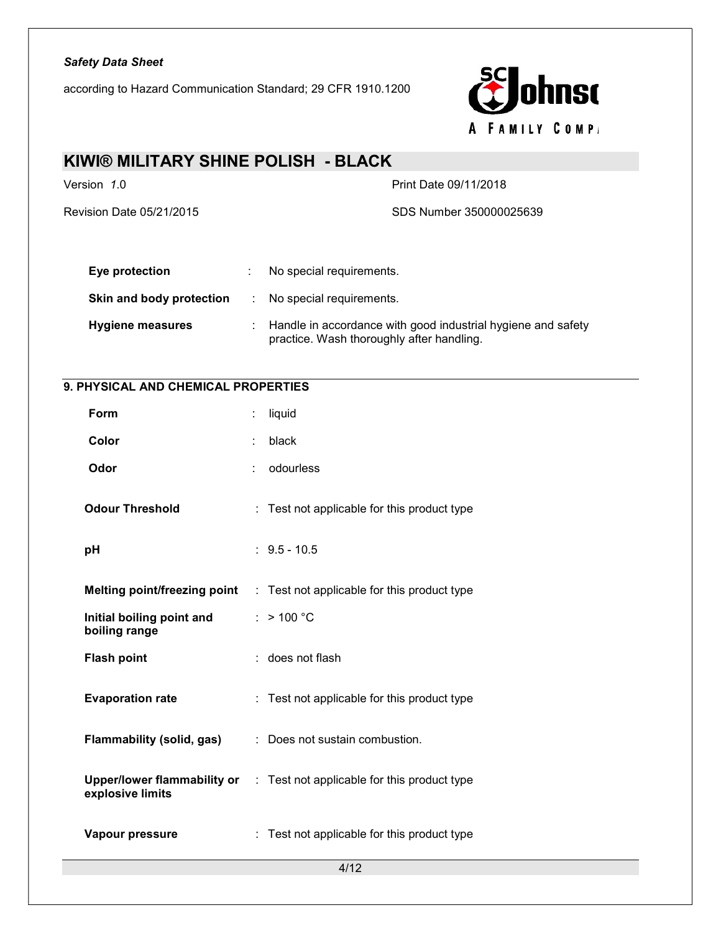according to Hazard Communication Standard; 29 CFR 1910.1200



## KIWI® MILITARY SHINE POLISH - BLACK Version 1.0 Print Date 09/11/2018 Revision Date 05/21/2015 SDS Number 350000025639 Eye protection : No special requirements. Skin and body protection : No special requirements. Hygiene measures : Handle in accordance with good industrial hygiene and safety practice. Wash thoroughly after handling.

### 9. PHYSICAL AND CHEMICAL PROPERTIES

| Form                                       |   | liquid                                                                         |
|--------------------------------------------|---|--------------------------------------------------------------------------------|
| Color                                      |   | black                                                                          |
| Odor                                       | ÷ | odourless                                                                      |
| <b>Odour Threshold</b>                     |   | : Test not applicable for this product type                                    |
| pH                                         |   | $: 9.5 - 10.5$                                                                 |
| Melting point/freezing point               |   | : Test not applicable for this product type                                    |
| Initial boiling point and<br>boiling range |   | $:$ > 100 °C                                                                   |
| <b>Flash point</b>                         |   | : does not flash                                                               |
| <b>Evaporation rate</b>                    |   | : Test not applicable for this product type                                    |
| <b>Flammability (solid, gas)</b>           |   | : Does not sustain combustion.                                                 |
| explosive limits                           |   | <b>Upper/lower flammability or</b> : Test not applicable for this product type |
| Vapour pressure                            |   | : Test not applicable for this product type                                    |
|                                            |   | 4/12                                                                           |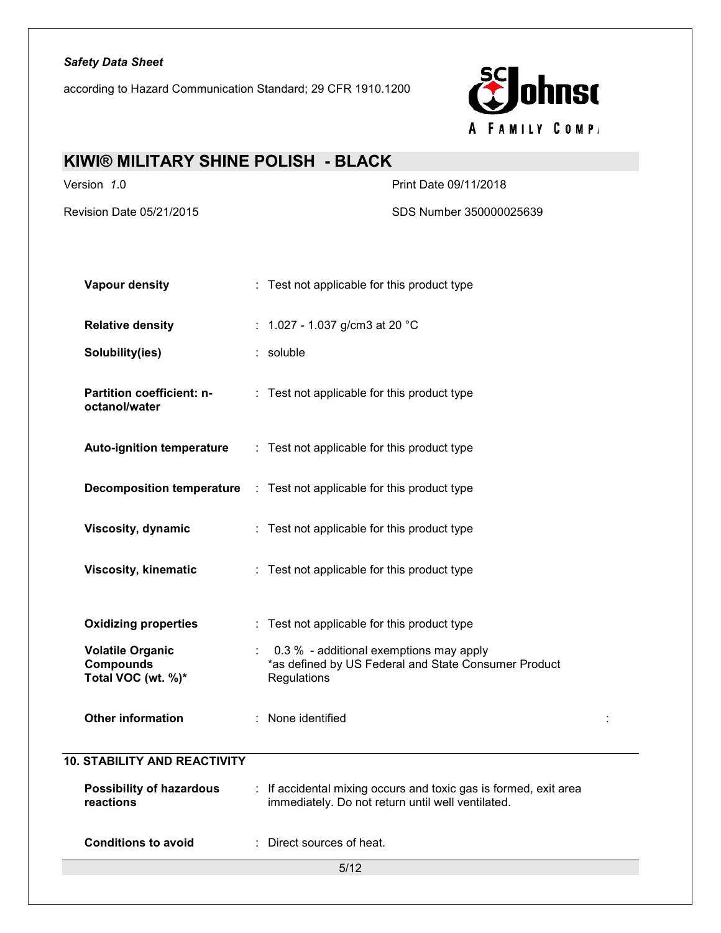according to Hazard Communication Standard; 29 CFR 1910.1200



### KIWI® MILITARY SHINE POLISH - BLACK

Version 1.0 **Print Date 09/11/2018** 

Revision Date 05/21/2015 SDS Number 350000025639

| <b>Vapour density</b>                                             | : Test not applicable for this product type                                                                           |  |  |  |
|-------------------------------------------------------------------|-----------------------------------------------------------------------------------------------------------------------|--|--|--|
| <b>Relative density</b>                                           | : 1.027 - 1.037 g/cm3 at 20 $^{\circ}$ C                                                                              |  |  |  |
| Solubility(ies)                                                   | : soluble                                                                                                             |  |  |  |
| Partition coefficient: n-<br>octanol/water                        | : Test not applicable for this product type                                                                           |  |  |  |
| <b>Auto-ignition temperature</b>                                  | : Test not applicable for this product type                                                                           |  |  |  |
|                                                                   | <b>Decomposition temperature</b> : Test not applicable for this product type                                          |  |  |  |
| Viscosity, dynamic                                                | : Test not applicable for this product type                                                                           |  |  |  |
| Viscosity, kinematic                                              | : Test not applicable for this product type                                                                           |  |  |  |
| <b>Oxidizing properties</b>                                       | : Test not applicable for this product type                                                                           |  |  |  |
| <b>Volatile Organic</b><br><b>Compounds</b><br>Total VOC (wt. %)* | : 0.3 % - additional exemptions may apply<br>*as defined by US Federal and State Consumer Product<br>Regulations      |  |  |  |
| <b>Other information</b>                                          | : None identified                                                                                                     |  |  |  |
| <b>10. STABILITY AND REACTIVITY</b>                               |                                                                                                                       |  |  |  |
| <b>Possibility of hazardous</b><br>reactions                      | : If accidental mixing occurs and toxic gas is formed, exit area<br>immediately. Do not return until well ventilated. |  |  |  |
| <b>Conditions to avoid</b>                                        | Direct sources of heat.                                                                                               |  |  |  |
|                                                                   | 5/12                                                                                                                  |  |  |  |
|                                                                   |                                                                                                                       |  |  |  |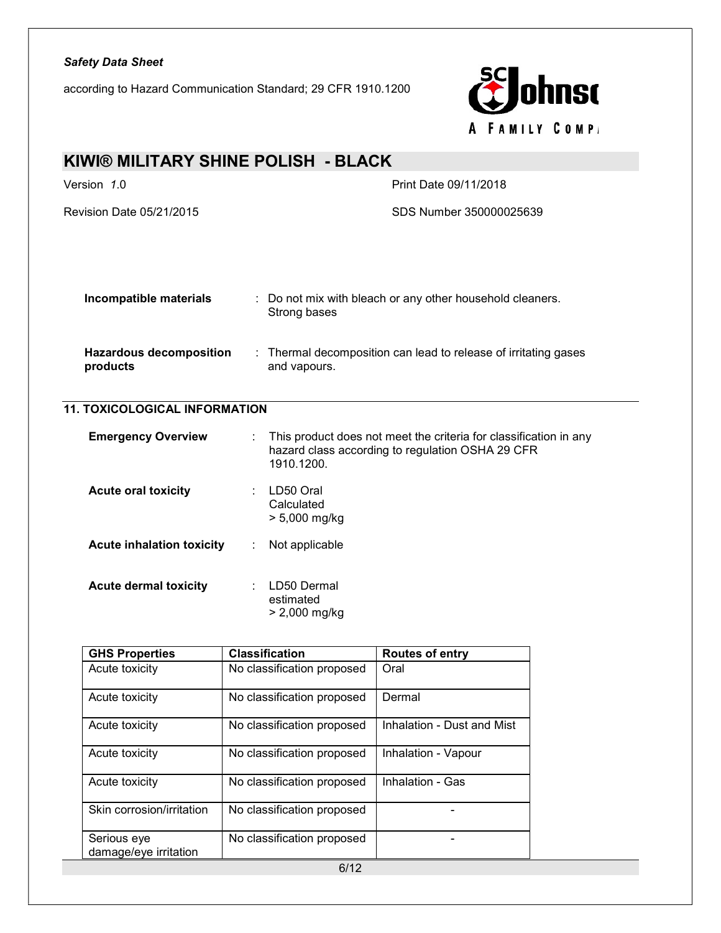according to Hazard Communication Standard; 29 CFR 1910.1200



| KIWI® MILITARY SHINE POLISH - BLACK        |                                                                                                                                           |  |  |  |
|--------------------------------------------|-------------------------------------------------------------------------------------------------------------------------------------------|--|--|--|
| Version 1.0<br>Print Date 09/11/2018       |                                                                                                                                           |  |  |  |
| <b>Revision Date 05/21/2015</b>            | SDS Number 350000025639                                                                                                                   |  |  |  |
|                                            |                                                                                                                                           |  |  |  |
|                                            |                                                                                                                                           |  |  |  |
| Incompatible materials                     | : Do not mix with bleach or any other household cleaners.<br>Strong bases                                                                 |  |  |  |
| <b>Hazardous decomposition</b><br>products | : Thermal decomposition can lead to release of irritating gases<br>and vapours.                                                           |  |  |  |
| <b>11. TOXICOLOGICAL INFORMATION</b>       |                                                                                                                                           |  |  |  |
| <b>Emergency Overview</b>                  | This product does not meet the criteria for classification in any<br>÷.<br>hazard class according to regulation OSHA 29 CFR<br>1910.1200. |  |  |  |
| <b>Acute oral toxicity</b>                 | : LD50 Oral<br>Calculated<br>> 5,000 mg/kg                                                                                                |  |  |  |
| <b>Acute inhalation toxicity</b>           | Not applicable                                                                                                                            |  |  |  |
| <b>Acute dermal toxicity</b>               | LD50 Dermal<br>estimated<br>> 2,000 mg/kg                                                                                                 |  |  |  |

| <b>GHS Properties</b>                | <b>Classification</b>      | <b>Routes of entry</b>     |
|--------------------------------------|----------------------------|----------------------------|
| Acute toxicity                       | No classification proposed | Oral                       |
| Acute toxicity                       | No classification proposed | Dermal                     |
| Acute toxicity                       | No classification proposed | Inhalation - Dust and Mist |
| Acute toxicity                       | No classification proposed | Inhalation - Vapour        |
| Acute toxicity                       | No classification proposed | Inhalation - Gas           |
| Skin corrosion/irritation            | No classification proposed |                            |
| Serious eye<br>damage/eye irritation | No classification proposed |                            |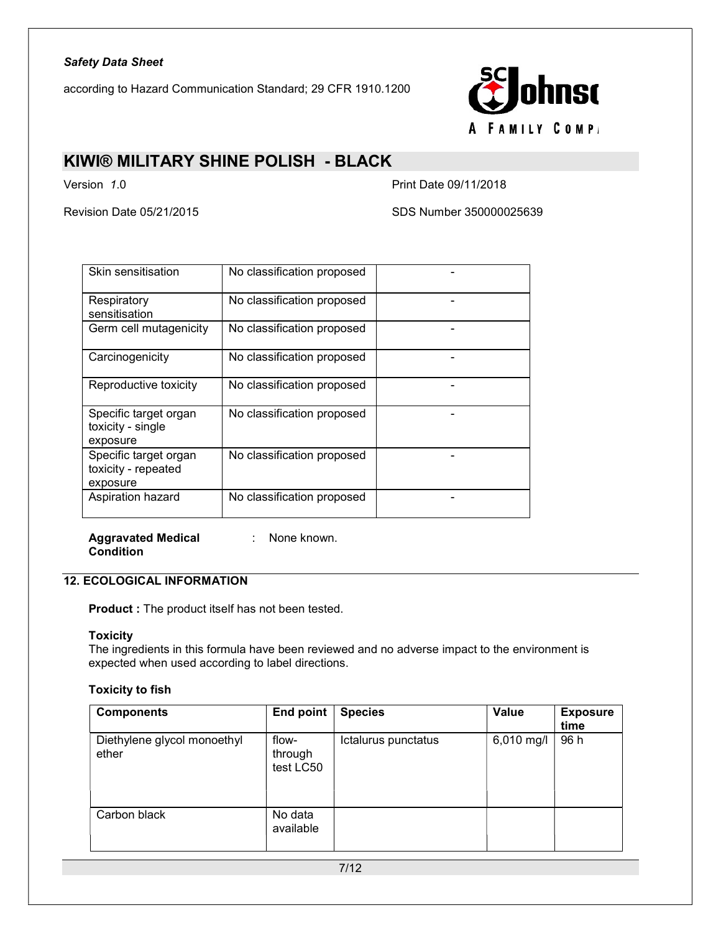according to Hazard Communication Standard; 29 CFR 1910.1200



### KIWI® MILITARY SHINE POLISH - BLACK

Version 1.0 Print Date 09/11/2018

Revision Date 05/21/2015 SDS Number 350000025639

| Skin sensitisation                                       | No classification proposed |  |
|----------------------------------------------------------|----------------------------|--|
| Respiratory<br>sensitisation                             | No classification proposed |  |
| Germ cell mutagenicity                                   | No classification proposed |  |
| Carcinogenicity                                          | No classification proposed |  |
| Reproductive toxicity                                    | No classification proposed |  |
| Specific target organ<br>toxicity - single<br>exposure   | No classification proposed |  |
| Specific target organ<br>toxicity - repeated<br>exposure | No classification proposed |  |
| Aspiration hazard                                        | No classification proposed |  |

Aggravated Medical Condition

: None known.

### 12. ECOLOGICAL INFORMATION

Product : The product itself has not been tested.

### **Toxicity**

The ingredients in this formula have been reviewed and no adverse impact to the environment is expected when used according to label directions.

#### Toxicity to fish

| <b>Components</b>                    | End point                     | <b>Species</b>      | Value      | <b>Exposure</b><br>time |
|--------------------------------------|-------------------------------|---------------------|------------|-------------------------|
| Diethylene glycol monoethyl<br>ether | flow-<br>through<br>test LC50 | Ictalurus punctatus | 6,010 mg/l | 96 h                    |
| Carbon black                         | No data<br>available          |                     |            |                         |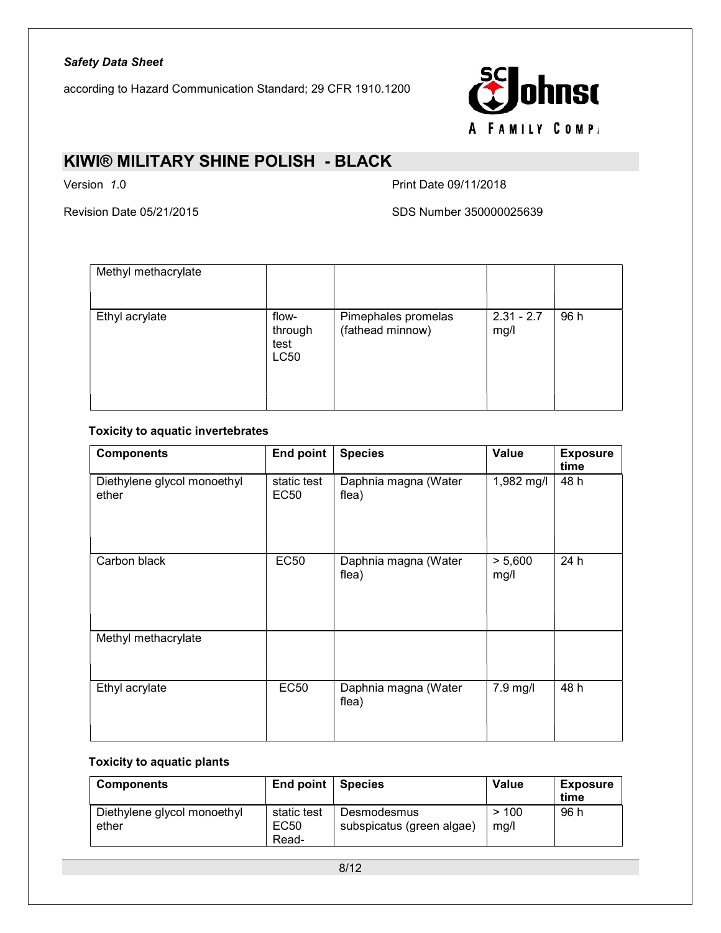according to Hazard Communication Standard; 29 CFR 1910.1200



### KIWI® MILITARY SHINE POLISH - BLACK

Version 1.0 **Print Date 09/11/2018** 

Revision Date 05/21/2015 **SDS Number 350000025639** 

| Methyl methacrylate |                                         |                                         |                      |      |
|---------------------|-----------------------------------------|-----------------------------------------|----------------------|------|
| Ethyl acrylate      | flow-<br>through<br>test<br><b>LC50</b> | Pimephales promelas<br>(fathead minnow) | $2.31 - 2.7$<br>mg/l | 96 h |

### Toxicity to aquatic invertebrates

| <b>Components</b>                    | End point                  | <b>Species</b>                | <b>Value</b>    | <b>Exposure</b><br>time |
|--------------------------------------|----------------------------|-------------------------------|-----------------|-------------------------|
| Diethylene glycol monoethyl<br>ether | static test<br><b>EC50</b> | Daphnia magna (Water<br>flea) | 1,982 mg/l      | 48 h                    |
| Carbon black                         | <b>EC50</b>                | Daphnia magna (Water<br>flea) | > 5,600<br>mg/l | 24 h                    |
| Methyl methacrylate                  |                            |                               |                 |                         |
| Ethyl acrylate                       | <b>EC50</b>                | Daphnia magna (Water<br>flea) | 7.9 mg/l        | 48 h                    |

### Toxicity to aquatic plants

| <b>Components</b>                    | End point Species            |                                          | Value        | <b>Exposure</b><br>time |
|--------------------------------------|------------------------------|------------------------------------------|--------------|-------------------------|
| Diethylene glycol monoethyl<br>ether | static test<br>EC50<br>Read- | Desmodesmus<br>subspicatus (green algae) | >100<br>mg/l | 96 h                    |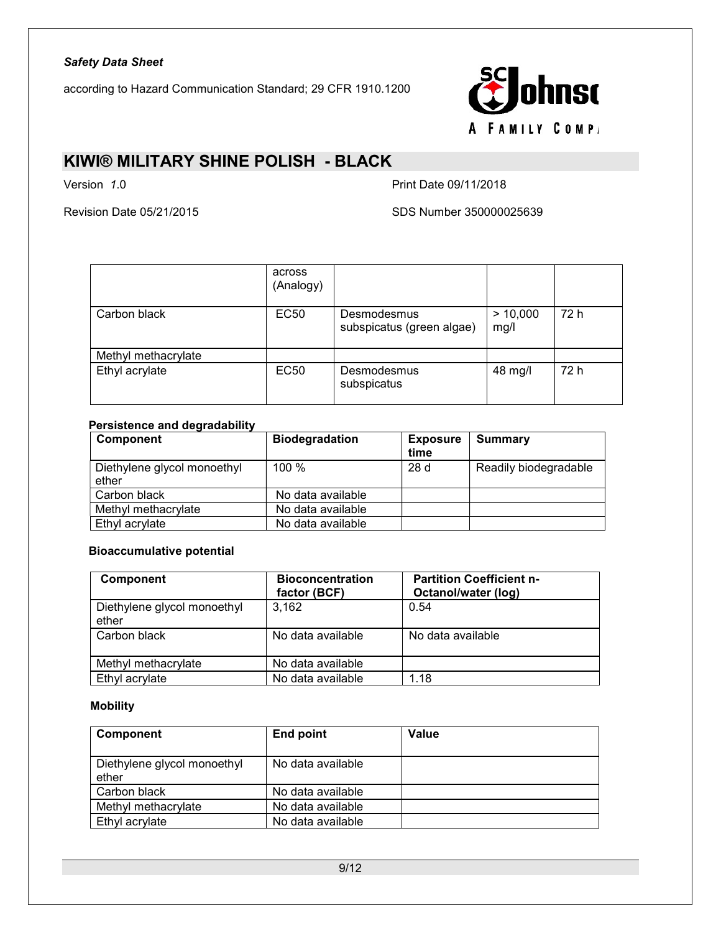according to Hazard Communication Standard; 29 CFR 1910.1200



### KIWI® MILITARY SHINE POLISH - BLACK

Version 1.0 **Print Date 09/11/2018** 

Revision Date 05/21/2015 SDS Number 350000025639

|                     | across<br>(Analogy) |                                          |                  |      |
|---------------------|---------------------|------------------------------------------|------------------|------|
| Carbon black        | EC50                | Desmodesmus<br>subspicatus (green algae) | > 10,000<br>mg/l | 72 h |
| Methyl methacrylate |                     |                                          |                  |      |
| Ethyl acrylate      | EC50                | Desmodesmus<br>subspicatus               | 48 mg/l          | 72 h |

### Persistence and degradability

| Component                            | <b>Biodegradation</b> | <b>Exposure</b><br>time | Summary               |
|--------------------------------------|-----------------------|-------------------------|-----------------------|
| Diethylene glycol monoethyl<br>ether | 100 %                 | 28d                     | Readily biodegradable |
| Carbon black                         | No data available     |                         |                       |
| Methyl methacrylate                  | No data available     |                         |                       |
| Ethyl acrylate                       | No data available     |                         |                       |

### Bioaccumulative potential

| Component                            | <b>Bioconcentration</b><br>factor (BCF) | <b>Partition Coefficient n-</b><br>Octanol/water (log) |
|--------------------------------------|-----------------------------------------|--------------------------------------------------------|
| Diethylene glycol monoethyl<br>ether | 3.162                                   | 0.54                                                   |
| Carbon black                         | No data available                       | No data available                                      |
| Methyl methacrylate                  | No data available                       |                                                        |
| Ethyl acrylate                       | No data available                       | 1.18                                                   |

### **Mobility**

| Component                            | End point         | <b>Value</b> |
|--------------------------------------|-------------------|--------------|
| Diethylene glycol monoethyl<br>ether | No data available |              |
| Carbon black                         | No data available |              |
| Methyl methacrylate                  | No data available |              |
| Ethyl acrylate                       | No data available |              |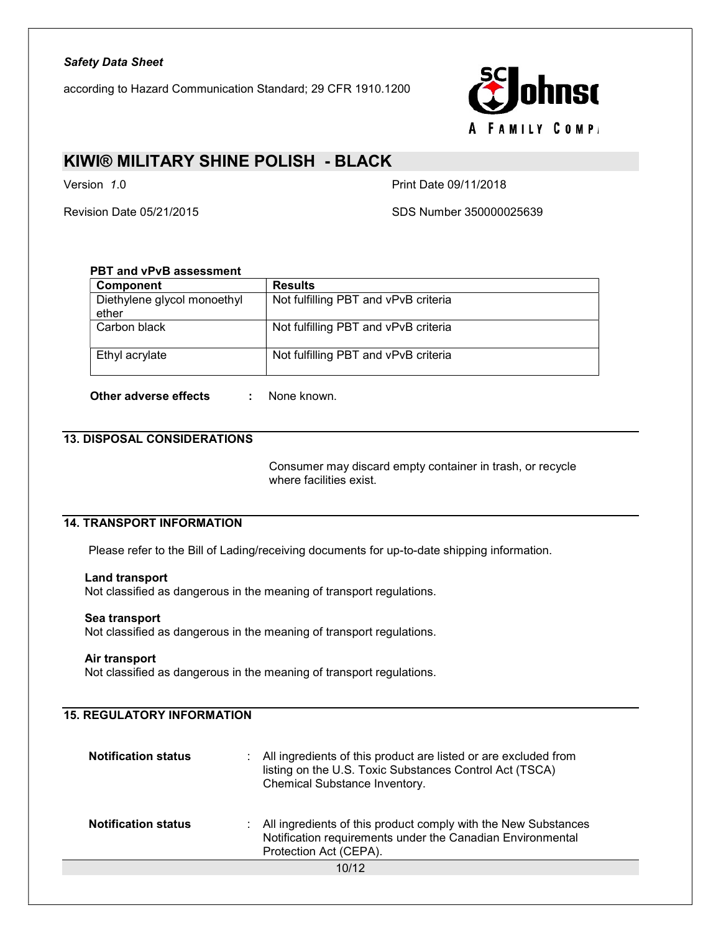according to Hazard Communication Standard; 29 CFR 1910.1200



### KIWI® MILITARY SHINE POLISH - BLACK

Version 1.0 **Print Date 09/11/2018** 

Revision Date 05/21/2015 SDS Number 350000025639

### PBT and vPvB assessment

| Component                            | <b>Results</b>                       |
|--------------------------------------|--------------------------------------|
| Diethylene glycol monoethyl<br>ether | Not fulfilling PBT and vPvB criteria |
| Carbon black                         | Not fulfilling PBT and vPvB criteria |
| Ethyl acrylate                       | Not fulfilling PBT and vPvB criteria |

Other adverse effects : None known.

### 13. DISPOSAL CONSIDERATIONS

 Consumer may discard empty container in trash, or recycle where facilities exist.

### 14. TRANSPORT INFORMATION

Please refer to the Bill of Lading/receiving documents for up-to-date shipping information.

#### Land transport

Not classified as dangerous in the meaning of transport regulations.

#### Sea transport

Not classified as dangerous in the meaning of transport regulations.

#### Air transport

Not classified as dangerous in the meaning of transport regulations.

### 15. REGULATORY INFORMATION

| <b>Notification status</b> | : All ingredients of this product are listed or are excluded from<br>listing on the U.S. Toxic Substances Control Act (TSCA)<br>Chemical Substance Inventory. |
|----------------------------|---------------------------------------------------------------------------------------------------------------------------------------------------------------|
| <b>Notification status</b> | : All ingredients of this product comply with the New Substances<br>Notification requirements under the Canadian Environmental<br>Protection Act (CEPA).      |
|                            | 10/12                                                                                                                                                         |
|                            |                                                                                                                                                               |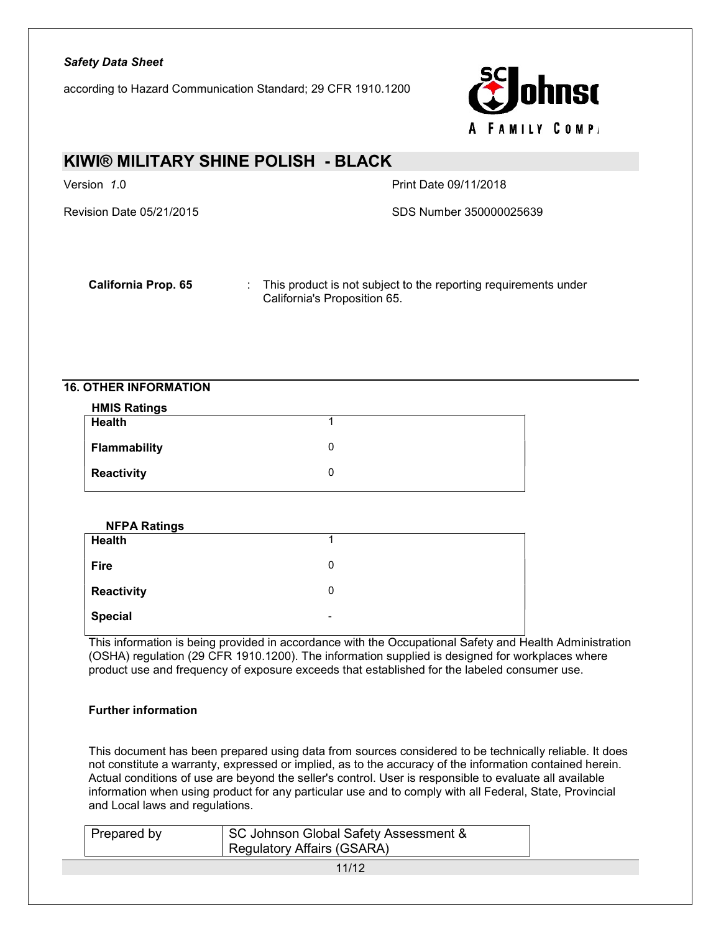according to Hazard Communication Standard; 29 CFR 1910.1200



# KIWI® MILITARY SHINE POLISH - BLACK Version 1.0 **Print Date 09/11/2018** Revision Date 05/21/2015 SDS Number 350000025639

California Prop. 65 : This product is not subject to the reporting requirements under California's Proposition 65.

### 16. OTHER INFORMATION

| <b>HMIS Ratings</b> |   |
|---------------------|---|
| <b>Health</b>       |   |
| <b>Flammability</b> | 0 |
| Reactivity          | 0 |

| <b>NFPA Ratings</b> |      |
|---------------------|------|
| <b>Health</b>       |      |
| <b>Fire</b>         | 0    |
| Reactivity          | 0    |
| <b>Special</b>      | $\,$ |

This information is being provided in accordance with the Occupational Safety and Health Administration (OSHA) regulation (29 CFR 1910.1200). The information supplied is designed for workplaces where product use and frequency of exposure exceeds that established for the labeled consumer use.

### Further information

This document has been prepared using data from sources considered to be technically reliable. It does not constitute a warranty, expressed or implied, as to the accuracy of the information contained herein. Actual conditions of use are beyond the seller's control. User is responsible to evaluate all available information when using product for any particular use and to comply with all Federal, State, Provincial and Local laws and regulations.

| Prepared by | SC Johnson Global Safety Assessment &<br>' Regulatory Affairs (GSARA) |  |
|-------------|-----------------------------------------------------------------------|--|
|             | 11/12                                                                 |  |
|             |                                                                       |  |